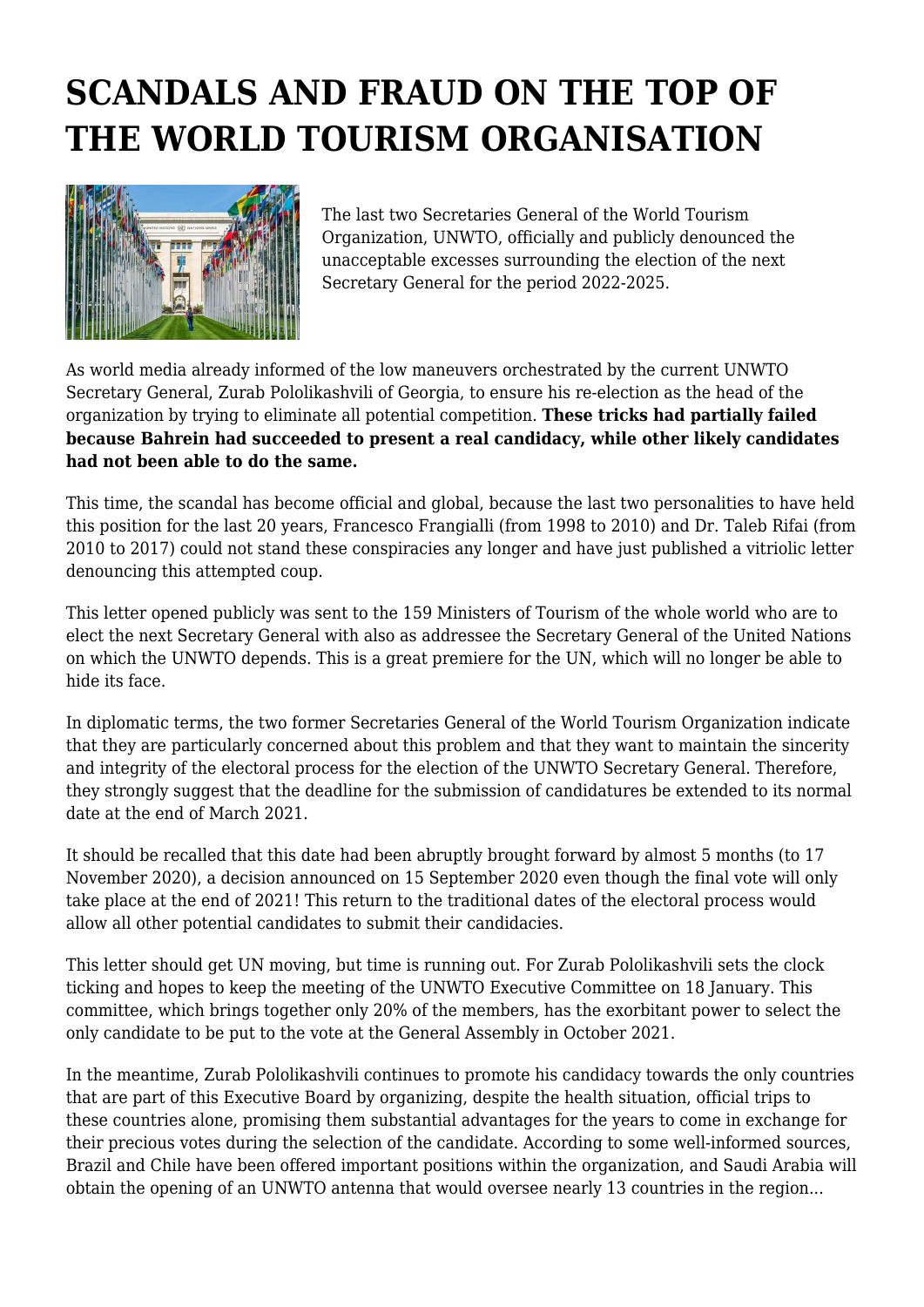## **SCANDALS AND FRAUD ON THE TOP OF THE WORLD TOURISM ORGANISATION**



The last two Secretaries General of the World Tourism Organization, UNWTO, officially and publicly denounced the unacceptable excesses surrounding the election of the next Secretary General for the period 2022-2025.

As world media already informed of the low maneuvers orchestrated by the current UNWTO Secretary General, Zurab Pololikashvili of Georgia, to ensure his re-election as the head of the organization by trying to eliminate all potential competition. **These tricks had partially failed because Bahrein had succeeded to present a real candidacy, while other likely candidates had not been able to do the same.**

This time, the scandal has become official and global, because the last two personalities to have held this position for the last 20 years, Francesco Frangialli (from 1998 to 2010) and Dr. Taleb Rifai (from 2010 to 2017) could not stand these conspiracies any longer and have just published a vitriolic letter denouncing this attempted coup.

This letter opened publicly was sent to the 159 Ministers of Tourism of the whole world who are to elect the next Secretary General with also as addressee the Secretary General of the United Nations on which the UNWTO depends. This is a great premiere for the UN, which will no longer be able to hide its face.

In diplomatic terms, the two former Secretaries General of the World Tourism Organization indicate that they are particularly concerned about this problem and that they want to maintain the sincerity and integrity of the electoral process for the election of the UNWTO Secretary General. Therefore, they strongly suggest that the deadline for the submission of candidatures be extended to its normal date at the end of March 2021.

It should be recalled that this date had been abruptly brought forward by almost 5 months (to 17 November 2020), a decision announced on 15 September 2020 even though the final vote will only take place at the end of 2021! This return to the traditional dates of the electoral process would allow all other potential candidates to submit their candidacies.

This letter should get UN moving, but time is running out. For Zurab Pololikashvili sets the clock ticking and hopes to keep the meeting of the UNWTO Executive Committee on 18 January. This committee, which brings together only 20% of the members, has the exorbitant power to select the only candidate to be put to the vote at the General Assembly in October 2021.

In the meantime, Zurab Pololikashvili continues to promote his candidacy towards the only countries that are part of this Executive Board by organizing, despite the health situation, official trips to these countries alone, promising them substantial advantages for the years to come in exchange for their precious votes during the selection of the candidate. According to some well-informed sources, Brazil and Chile have been offered important positions within the organization, and Saudi Arabia will obtain the opening of an UNWTO antenna that would oversee nearly 13 countries in the region...